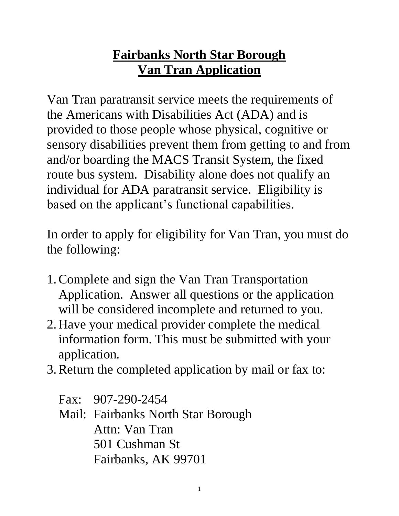# **Fairbanks North Star Borough Van Tran Application**

Van Tran paratransit service meets the requirements of the Americans with Disabilities Act (ADA) and is provided to those people whose physical, cognitive or sensory disabilities prevent them from getting to and from and/or boarding the MACS Transit System, the fixed route bus system. Disability alone does not qualify an individual for ADA paratransit service. Eligibility is based on the applicant's functional capabilities.

In order to apply for eligibility for Van Tran, you must do the following:

- 1.Complete and sign the Van Tran Transportation Application. Answer all questions or the application will be considered incomplete and returned to you.
- 2. Have your medical provider complete the medical information form. This must be submitted with your application.
- 3.Return the completed application by mail or fax to:

Fax: 907-290-2454 Mail: Fairbanks North Star Borough Attn: Van Tran 501 Cushman St Fairbanks, AK 99701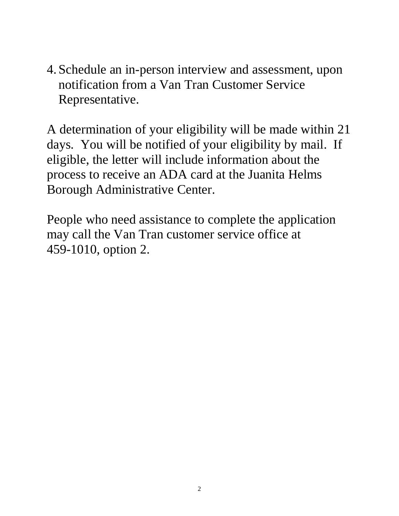4. Schedule an in-person interview and assessment, upon notification from a Van Tran Customer Service Representative.

A determination of your eligibility will be made within 21 days. You will be notified of your eligibility by mail. If eligible, the letter will include information about the process to receive an ADA card at the Juanita Helms Borough Administrative Center.

People who need assistance to complete the application may call the Van Tran customer service office at 459-1010, option 2.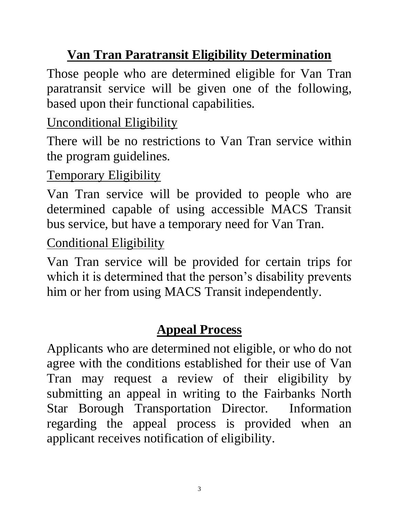# **Van Tran Paratransit Eligibility Determination**

Those people who are determined eligible for Van Tran paratransit service will be given one of the following, based upon their functional capabilities.

# Unconditional Eligibility

There will be no restrictions to Van Tran service within the program guidelines.

## Temporary Eligibility

Van Tran service will be provided to people who are determined capable of using accessible MACS Transit bus service, but have a temporary need for Van Tran.

## Conditional Eligibility

Van Tran service will be provided for certain trips for which it is determined that the person's disability prevents him or her from using MACS Transit independently.

# **Appeal Process**

Applicants who are determined not eligible, or who do not agree with the conditions established for their use of Van Tran may request a review of their eligibility by submitting an appeal in writing to the Fairbanks North Star Borough Transportation Director. Information regarding the appeal process is provided when an applicant receives notification of eligibility.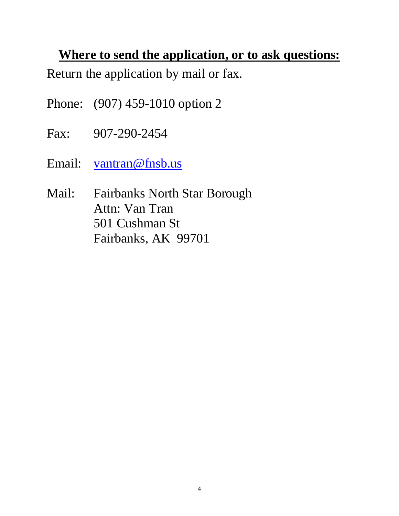### **Where to send the application, or to ask questions:**

Return the application by mail or fax.

- Phone: (907) 459-1010 option 2
- Fax: 907-290-2454
- Email: [vantran@fnsb.us](mailto:vantran@fnsb.us)
- Mail: Fairbanks North Star Borough Attn: Van Tran 501 Cushman St Fairbanks, AK 99701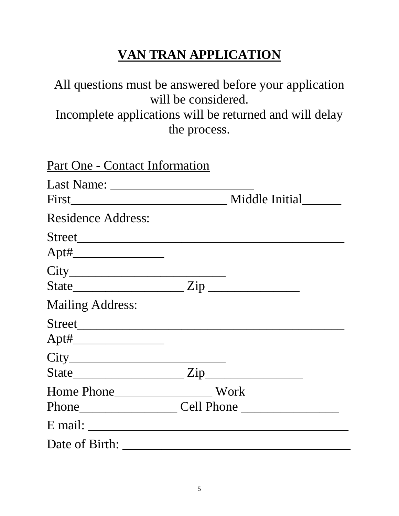# **VAN TRAN APPLICATION**

## All questions must be answered before your application will be considered. Incomplete applications will be returned and will delay the process.

| Part One - Contact Information                                                                                                                                                                                                                                                                                                                                  |  |
|-----------------------------------------------------------------------------------------------------------------------------------------------------------------------------------------------------------------------------------------------------------------------------------------------------------------------------------------------------------------|--|
|                                                                                                                                                                                                                                                                                                                                                                 |  |
| <b>Residence Address:</b>                                                                                                                                                                                                                                                                                                                                       |  |
|                                                                                                                                                                                                                                                                                                                                                                 |  |
| State $\frac{1}{\sqrt{2\pi}}$ $\frac{1}{\sqrt{2\pi}}$ $\frac{1}{\sqrt{2\pi}}$ $\frac{1}{\sqrt{2\pi}}$ $\frac{1}{\sqrt{2\pi}}$ $\frac{1}{\sqrt{2\pi}}$ $\frac{1}{\sqrt{2\pi}}$ $\frac{1}{\sqrt{2\pi}}$ $\frac{1}{\sqrt{2\pi}}$ $\frac{1}{\sqrt{2\pi}}$ $\frac{1}{\sqrt{2\pi}}$ $\frac{1}{\sqrt{2\pi}}$ $\frac{1}{\sqrt{2\pi}}$ $\frac{1}{\sqrt{2\pi}}$ $\frac{1$ |  |
| <b>Mailing Address:</b>                                                                                                                                                                                                                                                                                                                                         |  |
|                                                                                                                                                                                                                                                                                                                                                                 |  |
| State <u>Zip</u>                                                                                                                                                                                                                                                                                                                                                |  |
|                                                                                                                                                                                                                                                                                                                                                                 |  |
|                                                                                                                                                                                                                                                                                                                                                                 |  |
| Date of Birth:                                                                                                                                                                                                                                                                                                                                                  |  |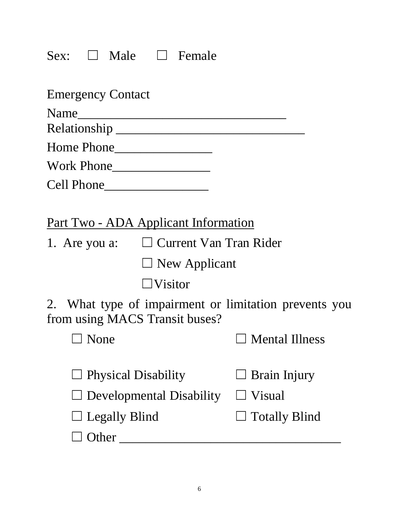# Sex: □ Male □ Female

| <b>Emergency Contact</b>                                                                |                       |
|-----------------------------------------------------------------------------------------|-----------------------|
| Name<br><u> 1989 - Johann Barbara, martxa alemani</u> ar a                              |                       |
|                                                                                         |                       |
|                                                                                         |                       |
|                                                                                         |                       |
|                                                                                         |                       |
|                                                                                         |                       |
| Part Two - ADA Applicant Information                                                    |                       |
| 1. Are you a: □ Current Van Tran Rider                                                  |                       |
| $\Box$ New Applicant                                                                    |                       |
| $\Box$ Visitor                                                                          |                       |
| 2. What type of impairment or limitation prevents you<br>from using MACS Transit buses? |                       |
| $\Box$ None                                                                             | $\Box$ Mental Illness |
| $\Box$ Physical Disability                                                              | $\Box$ Brain Injury   |
| Developmental Disability                                                                | Visual                |
| <b>Legally Blind</b>                                                                    | <b>Totally Blind</b>  |
| Other                                                                                   |                       |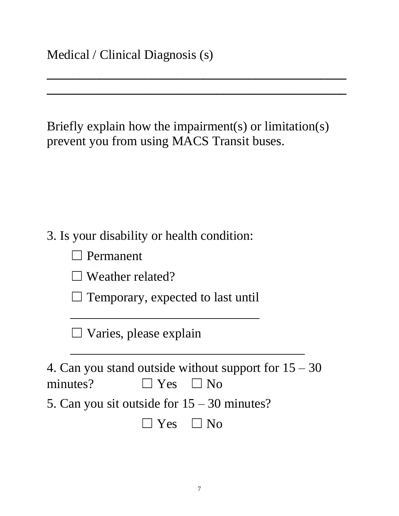Briefly explain how the impairment(s) or limitation(s) prevent you from using MACS Transit buses.

**\_\_\_\_\_\_\_\_\_\_\_\_\_\_\_\_\_\_\_\_\_\_\_\_\_\_\_\_\_\_\_\_\_\_\_\_\_\_\_\_\_\_\_\_\_\_**

**\_\_\_\_\_\_\_\_\_\_\_\_\_\_\_\_\_\_\_\_\_\_\_\_\_\_\_\_\_\_\_\_\_\_\_\_\_\_\_\_\_\_\_\_\_\_**

3. Is your disability or health condition:

 $\Box$  Weather related?

 $\Box$  Temporary, expected to last until

 $\overline{\phantom{a}}$  , where  $\overline{\phantom{a}}$  , where  $\overline{\phantom{a}}$  , where  $\overline{\phantom{a}}$  ,  $\overline{\phantom{a}}$  ,  $\overline{\phantom{a}}$  ,  $\overline{\phantom{a}}$  ,  $\overline{\phantom{a}}$  ,  $\overline{\phantom{a}}$  ,  $\overline{\phantom{a}}$  ,  $\overline{\phantom{a}}$  ,  $\overline{\phantom{a}}$  ,  $\overline{\phantom{a}}$  ,  $\overline{\phantom{a}}$  ,  $\overline{\phantom$ 

 $\Box$  Varies, please explain

4. Can you stand outside without support for  $15 - 30$ minutes?  $\Box$  Yes  $\Box$  No 5. Can you sit outside for 15 – 30 minutes?

 $\overline{\phantom{a}}$  , where  $\overline{\phantom{a}}$  , where  $\overline{\phantom{a}}$  , where  $\overline{\phantom{a}}$  , where  $\overline{\phantom{a}}$  , where  $\overline{\phantom{a}}$ 

 $\Box$  Yes  $\Box$  No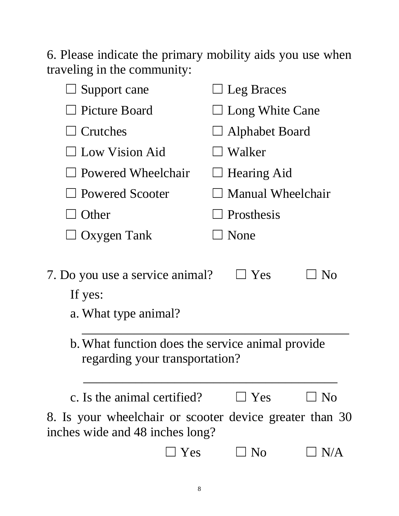6. Please indicate the primary mobility aids you use when traveling in the community:

| Support cane                                                                               | $\Box$ Leg Braces            |  |  |
|--------------------------------------------------------------------------------------------|------------------------------|--|--|
| <b>Picture Board</b>                                                                       | $\Box$ Long White Cane       |  |  |
| $\Box$ Crutches                                                                            | $\Box$ Alphabet Board        |  |  |
| $\Box$ Low Vision Aid                                                                      | Walker                       |  |  |
| $\Box$ Powered Wheelchair                                                                  | $\Box$ Hearing Aid           |  |  |
| $\Box$ Powered Scooter                                                                     | <b>Manual Wheelchair</b>     |  |  |
| <b>Other</b>                                                                               | $\Box$ Prosthesis            |  |  |
| Oxygen Tank                                                                                | None                         |  |  |
| 7. Do you use a service animal?<br>If yes:<br>a. What type animal?                         | $\Box$ Yes<br>N <sub>O</sub> |  |  |
| b. What function does the service animal provide<br>regarding your transportation?         |                              |  |  |
| c. Is the animal certified?                                                                | $\Box$ Yes<br>$\perp$ No     |  |  |
| 8. Is your wheelchair or scooter device greater than 30<br>inches wide and 48 inches long? |                              |  |  |
| Yes                                                                                        | N <sub>o</sub><br>$\Box$ N/A |  |  |
|                                                                                            |                              |  |  |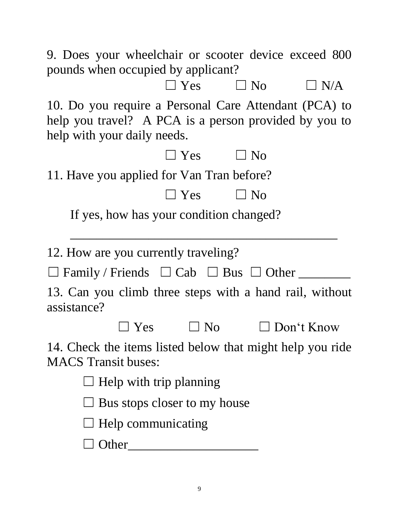9. Does your wheelchair or scooter device exceed 800 pounds when occupied by applicant?

 $\square$  Yes  $\square$  No  $\square$  N/A 10. Do you require a Personal Care Attendant (PCA) to help you travel? A PCA is a person provided by you to help with your daily needs.

| TICIP WILLI YOUL GALLY TICCUS.            |                                     |            |                                                                   |  |
|-------------------------------------------|-------------------------------------|------------|-------------------------------------------------------------------|--|
|                                           |                                     | $\Box$ Yes | $\Box$ No                                                         |  |
| 11. Have you applied for Van Tran before? |                                     |            |                                                                   |  |
|                                           |                                     |            | $\Box$ Yes $\Box$ No                                              |  |
|                                           |                                     |            | If yes, how has your condition changed?                           |  |
| 12. How are you currently traveling?      |                                     |            |                                                                   |  |
|                                           |                                     |            | $\Box$ Family / Friends $\Box$ Cab $\Box$ Bus $\Box$ Other ______ |  |
| assistance?                               |                                     |            | 13. Can you climb three steps with a hand rail, without           |  |
|                                           |                                     |            | $\Box$ Yes $\Box$ No $\Box$ Don't Know                            |  |
| <b>MACS</b> Transit buses:                |                                     |            | 14. Check the items listed below that might help you ride         |  |
|                                           | $\Box$ Help with trip planning      |            |                                                                   |  |
|                                           | $\Box$ Bus stops closer to my house |            |                                                                   |  |
|                                           | $\Box$ Help communicating           |            |                                                                   |  |
| $\Box$ Other                              |                                     |            |                                                                   |  |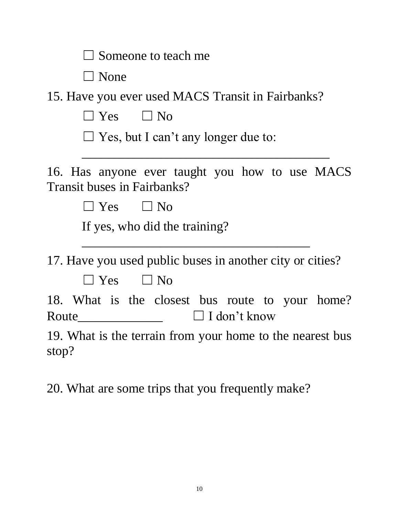| $\Box$ Someone to teach me                                                               |
|------------------------------------------------------------------------------------------|
| $\Box$ None                                                                              |
| 15. Have you ever used MACS Transit in Fairbanks?                                        |
| $\square$ Yes $\square$ No                                                               |
| $\Box$ Yes, but I can't any longer due to:                                               |
| 16. Has anyone ever taught you how to use MACS<br><b>Transit buses in Fairbanks?</b>     |
| $\square$ Yes $\square$ No                                                               |
| If yes, who did the training?                                                            |
| 17. Have you used public buses in another city or cities?<br>$\Box$ Yes $\Box$ No        |
| 18. What is the closest bus route to your home?<br>$\Box$ I don't know<br>$\text{Route}$ |
| 19. What is the terrain from your home to the nearest bus<br>stop?                       |
| 20. What are some trips that you frequently make?                                        |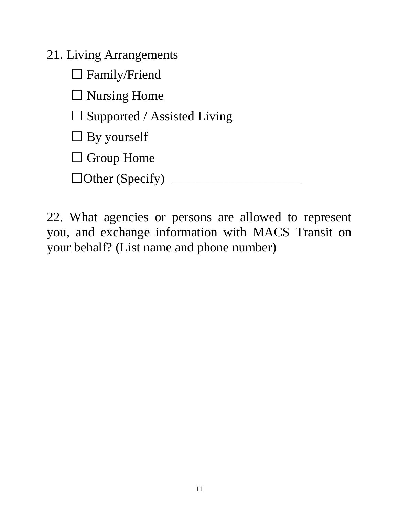21. Living Arrangements

□ Family/Friend

 $\Box$  Nursing Home

 $\Box$  Supported / Assisted Living

 $\Box$  By yourself

□ Group Home

☐Other (Specify) \_\_\_\_\_\_\_\_\_\_\_\_\_\_\_\_\_\_\_\_

22. What agencies or persons are allowed to represent you, and exchange information with MACS Transit on your behalf? (List name and phone number)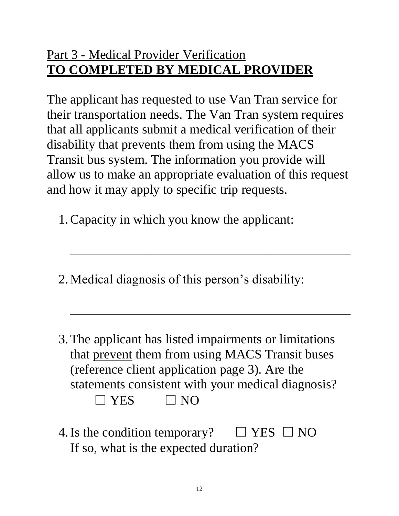## Part 3 - Medical Provider Verification **TO COMPLETED BY MEDICAL PROVIDER**

The applicant has requested to use Van Tran service for their transportation needs. The Van Tran system requires that all applicants submit a medical verification of their disability that prevents them from using the MACS Transit bus system. The information you provide will allow us to make an appropriate evaluation of this request and how it may apply to specific trip requests.

 $\overline{\phantom{a}}$  , and the contract of the contract of the contract of the contract of the contract of the contract of the contract of the contract of the contract of the contract of the contract of the contract of the contrac

 $\mathcal{L}=\{1,2,3,4,5\}$  , where  $\mathcal{L}=\{1,2,3,4,5\}$  , where  $\mathcal{L}=\{1,2,3,4,5\}$  ,  $\mathcal{L}=\{1,2,3,4,5\}$  ,  $\mathcal{L}=\{1,2,3,4,5\}$  ,  $\mathcal{L}=\{1,2,3,4,5\}$  ,  $\mathcal{L}=\{1,2,3,4,5\}$  ,  $\mathcal{L}=\{1,2,3,4,5\}$  ,  $\mathcal{L}=\{1,2,3,4,$ 

- 1.Capacity in which you know the applicant:
- 2.Medical diagnosis of this person's disability:
- 3.The applicant has listed impairments or limitations that prevent them from using MACS Transit buses (reference client application page 3). Are the statements consistent with your medical diagnosis?  $\Box$  YES  $\Box$  NO
- 4. Is the condition temporary?  $\Box$  YES  $\Box$  NO If so, what is the expected duration?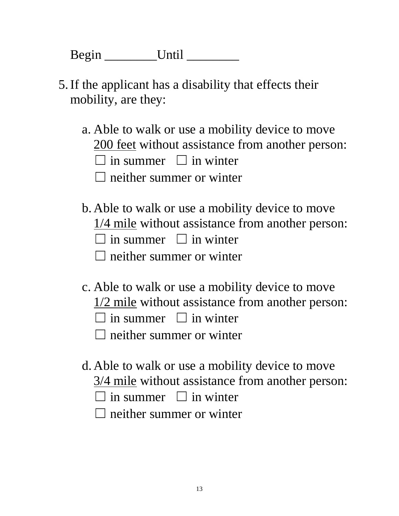Begin \_\_\_\_\_\_\_\_Until \_\_\_\_\_\_\_\_

- 5.If the applicant has a disability that effects their mobility, are they:
	- a. Able to walk or use a mobility device to move 200 feet without assistance from another person:
		- $\Box$  in summer  $\Box$  in winter
		- $\Box$  neither summer or winter
	- b. Able to walk or use a mobility device to move
		- 1/4 mile without assistance from another person:
		- $\Box$  in summer  $\Box$  in winter
		- $\Box$  neither summer or winter
	- c. Able to walk or use a mobility device to move
		- 1/2 mile without assistance from another person:
		- $\Box$  in summer  $\Box$  in winter
		- $\Box$  neither summer or winter
	- d. Able to walk or use a mobility device to move 3/4 mile without assistance from another person:
		- $\Box$  in summer  $\Box$  in winter
		- $\Box$  neither summer or winter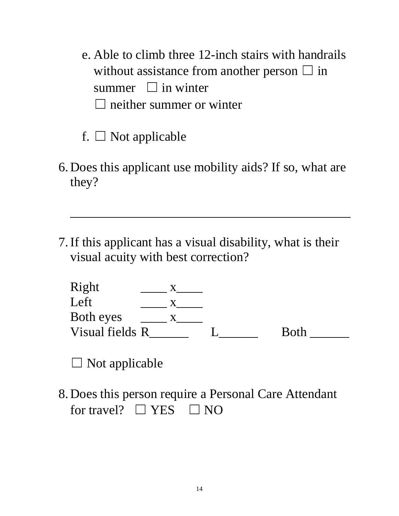- e. Able to climb three 12-inch stairs with handrails without assistance from another person  $\Box$  in summer  $\Box$  in winter  $\Box$  neither summer or winter
- f.  $\Box$  Not applicable
- 6. Does this applicant use mobility aids? If so, what are they?

 $\overline{\phantom{a}}$  , and the contract of the contract of the contract of the contract of the contract of the contract of the contract of the contract of the contract of the contract of the contract of the contract of the contrac

7.If this applicant has a visual disability, what is their visual acuity with best correction?

| Right           |  |             |
|-----------------|--|-------------|
| Left            |  |             |
| Both eyes       |  |             |
| Visual fields R |  | <b>Both</b> |

 $\Box$  Not applicable

8. Does this person require a Personal Care Attendant for travel?  $\Box$  YES  $\Box$  NO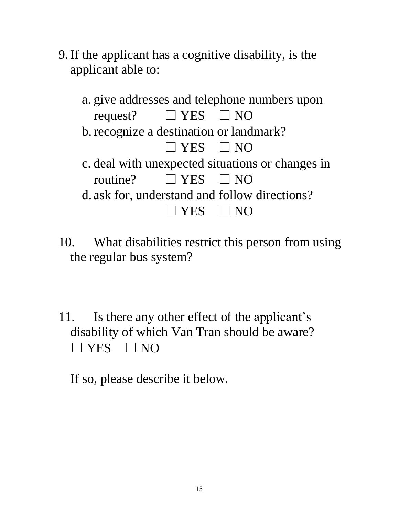- 9.If the applicant has a cognitive disability, is the applicant able to:
	- a. give addresses and telephone numbers upon request?  $\Box$  YES  $\Box$  NO b.recognize a destination or landmark?  $\Box$  YES  $\Box$  NO c. deal with unexpected situations or changes in routine?  $\Box$  YES  $\Box$  NO d. ask for, understand and follow directions?  $\Box$  YES  $\Box$  NO
- 10. What disabilities restrict this person from using the regular bus system?
- 11. Is there any other effect of the applicant's disability of which Van Tran should be aware?  $\Box$  YES  $\Box$  NO

If so, please describe it below.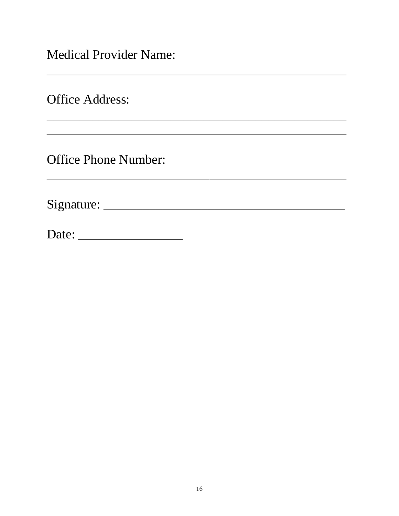**Medical Provider Name:** 

**Office Address:** 

**Office Phone Number:** 

Date: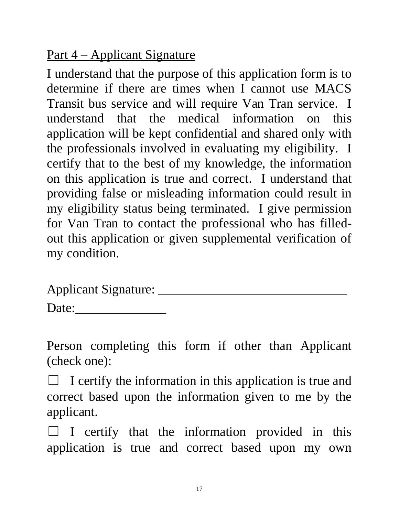## Part 4 – Applicant Signature

I understand that the purpose of this application form is to determine if there are times when I cannot use MACS Transit bus service and will require Van Tran service. I understand that the medical information on this application will be kept confidential and shared only with the professionals involved in evaluating my eligibility. I certify that to the best of my knowledge, the information on this application is true and correct. I understand that providing false or misleading information could result in my eligibility status being terminated. I give permission for Van Tran to contact the professional who has filledout this application or given supplemental verification of my condition.

Applicant Signature: \_\_\_\_\_\_\_\_\_\_\_\_\_\_\_\_\_\_\_\_\_\_\_\_\_\_\_\_\_

Date:\_\_\_\_\_\_\_\_\_\_\_\_\_\_

Person completing this form if other than Applicant (check one):

 $\Box$  I certify the information in this application is true and correct based upon the information given to me by the applicant.

 $\Box$  I certify that the information provided in this application is true and correct based upon my own